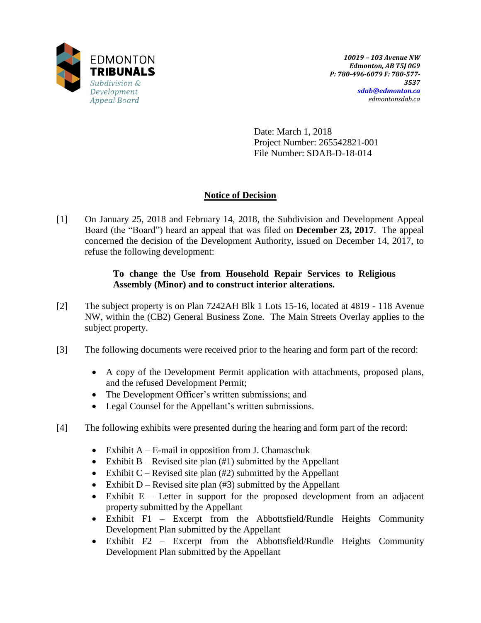

Date: March 1, 2018 Project Number: 265542821-001 File Number: SDAB-D-18-014

# **Notice of Decision**

[1] On January 25, 2018 and February 14, 2018, the Subdivision and Development Appeal Board (the "Board") heard an appeal that was filed on **December 23, 2017**. The appeal concerned the decision of the Development Authority, issued on December 14, 2017, to refuse the following development:

# **To change the Use from Household Repair Services to Religious Assembly (Minor) and to construct interior alterations.**

- [2] The subject property is on Plan 7242AH Blk 1 Lots 15-16, located at 4819 118 Avenue NW, within the (CB2) General Business Zone. The Main Streets Overlay applies to the subject property.
- [3] The following documents were received prior to the hearing and form part of the record:
	- A copy of the Development Permit application with attachments, proposed plans, and the refused Development Permit;
	- The Development Officer's written submissions; and
	- Legal Counsel for the Appellant's written submissions.
- [4] The following exhibits were presented during the hearing and form part of the record:
	- Exhibit  $A E$ -mail in opposition from J. Chamaschuk
	- Exhibit B Revised site plan  $(\#1)$  submitted by the Appellant
	- Exhibit C Revised site plan  $(\#2)$  submitted by the Appellant
	- Exhibit D Revised site plan  $(\#3)$  submitted by the Appellant
	- Exhibit  $E$  Letter in support for the proposed development from an adjacent property submitted by the Appellant
	- Exhibit F1 Excerpt from the Abbottsfield/Rundle Heights Community Development Plan submitted by the Appellant
	- Exhibit F2 Excerpt from the Abbottsfield/Rundle Heights Community Development Plan submitted by the Appellant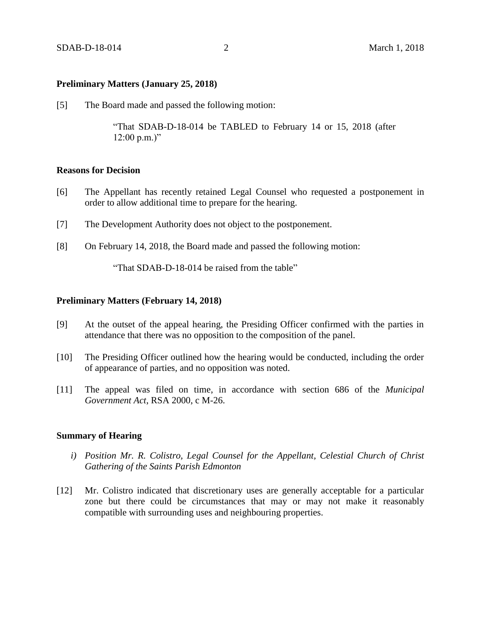#### **Preliminary Matters (January 25, 2018)**

[5] The Board made and passed the following motion:

"That SDAB-D-18-014 be TABLED to February 14 or 15, 2018 (after  $12:00 \text{ p.m.})"$ 

## **Reasons for Decision**

- [6] The Appellant has recently retained Legal Counsel who requested a postponement in order to allow additional time to prepare for the hearing.
- [7] The Development Authority does not object to the postponement.
- [8] On February 14, 2018, the Board made and passed the following motion:

"That SDAB-D-18-014 be raised from the table"

## **Preliminary Matters (February 14, 2018)**

- [9] At the outset of the appeal hearing, the Presiding Officer confirmed with the parties in attendance that there was no opposition to the composition of the panel.
- [10] The Presiding Officer outlined how the hearing would be conducted, including the order of appearance of parties, and no opposition was noted.
- [11] The appeal was filed on time, in accordance with section 686 of the *Municipal Government Act*, RSA 2000, c M-26.

## **Summary of Hearing**

- *i) Position Mr. R. Colistro, Legal Counsel for the Appellant, Celestial Church of Christ Gathering of the Saints Parish Edmonton*
- [12] Mr. Colistro indicated that discretionary uses are generally acceptable for a particular zone but there could be circumstances that may or may not make it reasonably compatible with surrounding uses and neighbouring properties.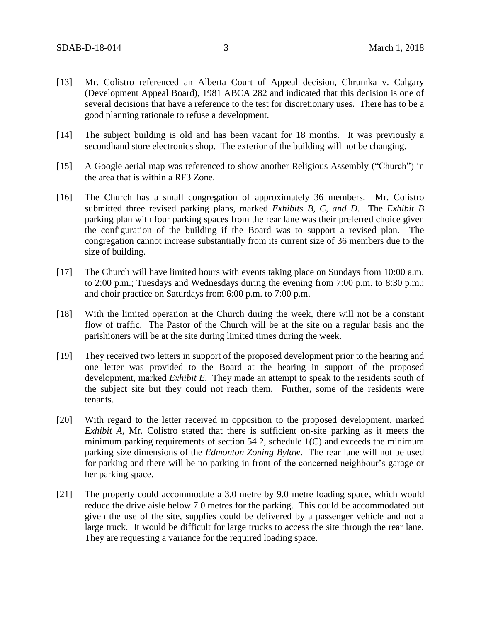- [13] Mr. Colistro referenced an Alberta Court of Appeal decision, Chrumka v. Calgary (Development Appeal Board), 1981 ABCA 282 and indicated that this decision is one of several decisions that have a reference to the test for discretionary uses. There has to be a good planning rationale to refuse a development.
- [14] The subject building is old and has been vacant for 18 months. It was previously a secondhand store electronics shop. The exterior of the building will not be changing.
- [15] A Google aerial map was referenced to show another Religious Assembly ("Church") in the area that is within a RF3 Zone.
- [16] The Church has a small congregation of approximately 36 members. Mr. Colistro submitted three revised parking plans, marked *Exhibits B, C, and D*. The *Exhibit B* parking plan with four parking spaces from the rear lane was their preferred choice given the configuration of the building if the Board was to support a revised plan. The congregation cannot increase substantially from its current size of 36 members due to the size of building.
- [17] The Church will have limited hours with events taking place on Sundays from 10:00 a.m. to 2:00 p.m.; Tuesdays and Wednesdays during the evening from 7:00 p.m. to 8:30 p.m.; and choir practice on Saturdays from 6:00 p.m. to 7:00 p.m.
- [18] With the limited operation at the Church during the week, there will not be a constant flow of traffic. The Pastor of the Church will be at the site on a regular basis and the parishioners will be at the site during limited times during the week.
- [19] They received two letters in support of the proposed development prior to the hearing and one letter was provided to the Board at the hearing in support of the proposed development, marked *Exhibit E*. They made an attempt to speak to the residents south of the subject site but they could not reach them. Further, some of the residents were tenants.
- [20] With regard to the letter received in opposition to the proposed development, marked *Exhibit A*, Mr. Colistro stated that there is sufficient on-site parking as it meets the minimum parking requirements of section 54.2, schedule 1(C) and exceeds the minimum parking size dimensions of the *Edmonton Zoning Bylaw*. The rear lane will not be used for parking and there will be no parking in front of the concerned neighbour's garage or her parking space.
- [21] The property could accommodate a 3.0 metre by 9.0 metre loading space, which would reduce the drive aisle below 7.0 metres for the parking. This could be accommodated but given the use of the site, supplies could be delivered by a passenger vehicle and not a large truck. It would be difficult for large trucks to access the site through the rear lane. They are requesting a variance for the required loading space.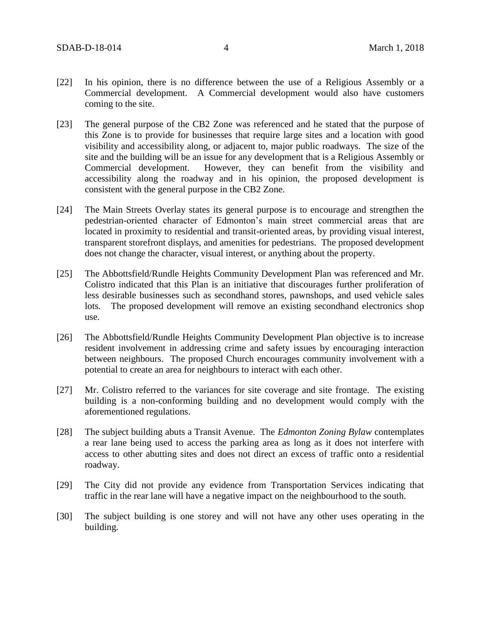- [22] In his opinion, there is no difference between the use of a Religious Assembly or a Commercial development. A Commercial development would also have customers coming to the site.
- [23] The general purpose of the CB2 Zone was referenced and he stated that the purpose of this Zone is to provide for businesses that require large sites and a location with good visibility and accessibility along, or adjacent to, major public roadways. The size of the site and the building will be an issue for any development that is a Religious Assembly or Commercial development. However, they can benefit from the visibility and accessibility along the roadway and in his opinion, the proposed development is consistent with the general purpose in the CB2 Zone.
- [24] The Main Streets Overlay states its general purpose is to encourage and strengthen the pedestrian-oriented character of Edmonton's main street commercial areas that are located in proximity to residential and transit-oriented areas, by providing visual interest, transparent storefront displays, and amenities for pedestrians. The proposed development does not change the character, visual interest, or anything about the property.
- [25] The Abbottsfield/Rundle Heights Community Development Plan was referenced and Mr. Colistro indicated that this Plan is an initiative that discourages further proliferation of less desirable businesses such as secondhand stores, pawnshops, and used vehicle sales lots. The proposed development will remove an existing secondhand electronics shop use.
- [26] The Abbottsfield/Rundle Heights Community Development Plan objective is to increase resident involvement in addressing crime and safety issues by encouraging interaction between neighbours. The proposed Church encourages community involvement with a potential to create an area for neighbours to interact with each other.
- [27] Mr. Colistro referred to the variances for site coverage and site frontage. The existing building is a non-conforming building and no development would comply with the aforementioned regulations.
- [28] The subject building abuts a Transit Avenue. The *Edmonton Zoning Bylaw* contemplates a rear lane being used to access the parking area as long as it does not interfere with access to other abutting sites and does not direct an excess of traffic onto a residential roadway.
- [29] The City did not provide any evidence from Transportation Services indicating that traffic in the rear lane will have a negative impact on the neighbourhood to the south.
- [30] The subject building is one storey and will not have any other uses operating in the building.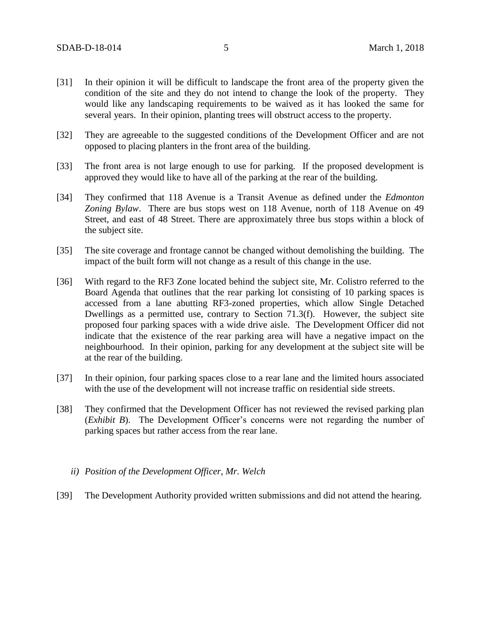- [31] In their opinion it will be difficult to landscape the front area of the property given the condition of the site and they do not intend to change the look of the property. They would like any landscaping requirements to be waived as it has looked the same for several years. In their opinion, planting trees will obstruct access to the property.
- [32] They are agreeable to the suggested conditions of the Development Officer and are not opposed to placing planters in the front area of the building.
- [33] The front area is not large enough to use for parking. If the proposed development is approved they would like to have all of the parking at the rear of the building.
- [34] They confirmed that 118 Avenue is a Transit Avenue as defined under the *Edmonton Zoning Bylaw*. There are bus stops west on 118 Avenue, north of 118 Avenue on 49 Street, and east of 48 Street. There are approximately three bus stops within a block of the subject site.
- [35] The site coverage and frontage cannot be changed without demolishing the building. The impact of the built form will not change as a result of this change in the use.
- [36] With regard to the RF3 Zone located behind the subject site, Mr. Colistro referred to the Board Agenda that outlines that the rear parking lot consisting of 10 parking spaces is accessed from a lane abutting RF3-zoned properties, which allow Single Detached Dwellings as a permitted use, contrary to Section 71.3(f). However, the subject site proposed four parking spaces with a wide drive aisle. The Development Officer did not indicate that the existence of the rear parking area will have a negative impact on the neighbourhood. In their opinion, parking for any development at the subject site will be at the rear of the building.
- [37] In their opinion, four parking spaces close to a rear lane and the limited hours associated with the use of the development will not increase traffic on residential side streets.
- [38] They confirmed that the Development Officer has not reviewed the revised parking plan (*Exhibit B*). The Development Officer's concerns were not regarding the number of parking spaces but rather access from the rear lane.
	- *ii) Position of the Development Officer, Mr. Welch*
- [39] The Development Authority provided written submissions and did not attend the hearing.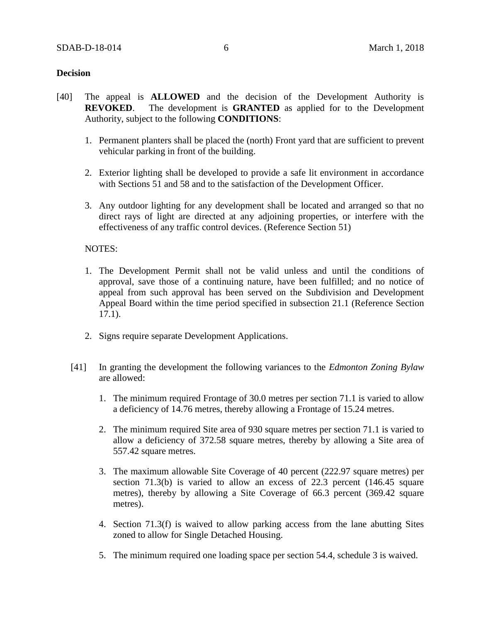### **Decision**

- [40] The appeal is **ALLOWED** and the decision of the Development Authority is **REVOKED**. The development is **GRANTED** as applied for to the Development Authority, subject to the following **CONDITIONS**:
	- 1. Permanent planters shall be placed the (north) Front yard that are sufficient to prevent vehicular parking in front of the building.
	- 2. Exterior lighting shall be developed to provide a safe lit environment in accordance with Sections 51 and 58 and to the satisfaction of the Development Officer.
	- 3. Any outdoor lighting for any development shall be located and arranged so that no direct rays of light are directed at any adjoining properties, or interfere with the effectiveness of any traffic control devices. (Reference Section 51)

### NOTES:

- 1. The Development Permit shall not be valid unless and until the conditions of approval, save those of a continuing nature, have been fulfilled; and no notice of appeal from such approval has been served on the Subdivision and Development Appeal Board within the time period specified in subsection 21.1 (Reference Section 17.1).
- 2. Signs require separate Development Applications.
- [41] In granting the development the following variances to the *Edmonton Zoning Bylaw* are allowed:
	- 1. The minimum required Frontage of 30.0 metres per section 71.1 is varied to allow a deficiency of 14.76 metres, thereby allowing a Frontage of 15.24 metres.
	- 2. The minimum required Site area of 930 square metres per section 71.1 is varied to allow a deficiency of 372.58 square metres, thereby by allowing a Site area of 557.42 square metres.
	- 3. The maximum allowable Site Coverage of 40 percent (222.97 square metres) per section 71.3(b) is varied to allow an excess of 22.3 percent (146.45 square metres), thereby by allowing a Site Coverage of 66.3 percent (369.42 square metres).
	- 4. Section 71.3(f) is waived to allow parking access from the lane abutting Sites zoned to allow for Single Detached Housing.
	- 5. The minimum required one loading space per section 54.4, schedule 3 is waived.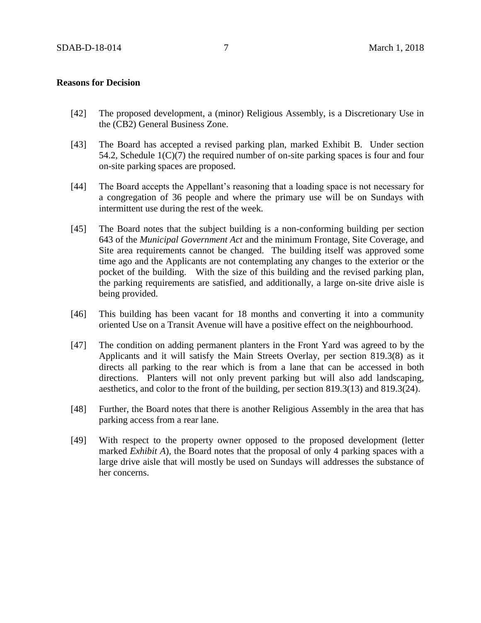## **Reasons for Decision**

- [42] The proposed development, a (minor) Religious Assembly, is a Discretionary Use in the (CB2) General Business Zone.
- [43] The Board has accepted a revised parking plan, marked Exhibit B. Under section 54.2, Schedule 1(C)(7) the required number of on-site parking spaces is four and four on-site parking spaces are proposed.
- [44] The Board accepts the Appellant's reasoning that a loading space is not necessary for a congregation of 36 people and where the primary use will be on Sundays with intermittent use during the rest of the week.
- [45] The Board notes that the subject building is a non-conforming building per section 643 of the *Municipal Government Act* and the minimum Frontage, Site Coverage, and Site area requirements cannot be changed. The building itself was approved some time ago and the Applicants are not contemplating any changes to the exterior or the pocket of the building. With the size of this building and the revised parking plan, the parking requirements are satisfied, and additionally, a large on-site drive aisle is being provided.
- [46] This building has been vacant for 18 months and converting it into a community oriented Use on a Transit Avenue will have a positive effect on the neighbourhood.
- [47] The condition on adding permanent planters in the Front Yard was agreed to by the Applicants and it will satisfy the Main Streets Overlay, per section 819.3(8) as it directs all parking to the rear which is from a lane that can be accessed in both directions. Planters will not only prevent parking but will also add landscaping, aesthetics, and color to the front of the building, per section 819.3(13) and 819.3(24).
- [48] Further, the Board notes that there is another Religious Assembly in the area that has parking access from a rear lane.
- [49] With respect to the property owner opposed to the proposed development (letter marked *Exhibit A*), the Board notes that the proposal of only 4 parking spaces with a large drive aisle that will mostly be used on Sundays will addresses the substance of her concerns.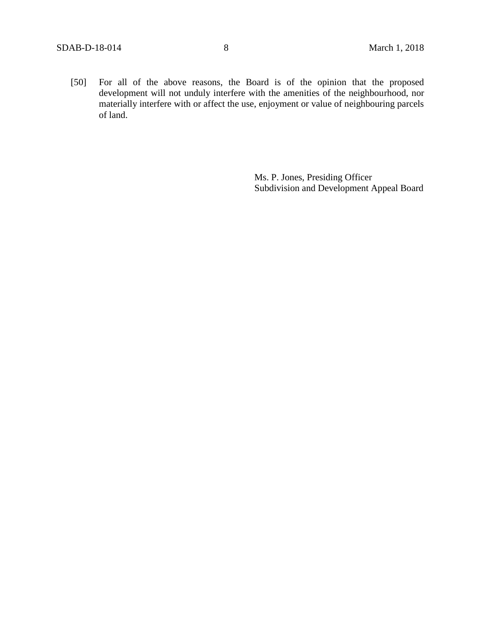[50] For all of the above reasons, the Board is of the opinion that the proposed development will not unduly interfere with the amenities of the neighbourhood, nor materially interfere with or affect the use, enjoyment or value of neighbouring parcels of land.

> Ms. P. Jones, Presiding Officer Subdivision and Development Appeal Board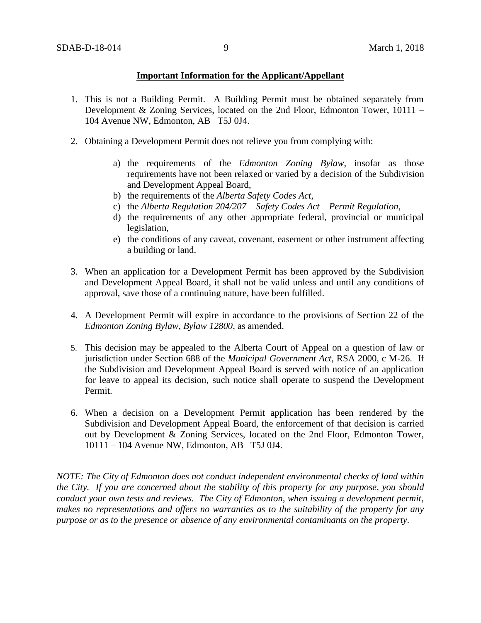## **Important Information for the Applicant/Appellant**

- 1. This is not a Building Permit. A Building Permit must be obtained separately from Development & Zoning Services, located on the 2nd Floor, Edmonton Tower, 10111 – 104 Avenue NW, Edmonton, AB T5J 0J4.
- 2. Obtaining a Development Permit does not relieve you from complying with:
	- a) the requirements of the *Edmonton Zoning Bylaw*, insofar as those requirements have not been relaxed or varied by a decision of the Subdivision and Development Appeal Board,
	- b) the requirements of the *Alberta Safety Codes Act*,
	- c) the *Alberta Regulation 204/207 – Safety Codes Act – Permit Regulation*,
	- d) the requirements of any other appropriate federal, provincial or municipal legislation,
	- e) the conditions of any caveat, covenant, easement or other instrument affecting a building or land.
- 3. When an application for a Development Permit has been approved by the Subdivision and Development Appeal Board, it shall not be valid unless and until any conditions of approval, save those of a continuing nature, have been fulfilled.
- 4. A Development Permit will expire in accordance to the provisions of Section 22 of the *Edmonton Zoning Bylaw, Bylaw 12800*, as amended.
- 5. This decision may be appealed to the Alberta Court of Appeal on a question of law or jurisdiction under Section 688 of the *Municipal Government Act*, RSA 2000, c M-26. If the Subdivision and Development Appeal Board is served with notice of an application for leave to appeal its decision, such notice shall operate to suspend the Development Permit.
- 6. When a decision on a Development Permit application has been rendered by the Subdivision and Development Appeal Board, the enforcement of that decision is carried out by Development & Zoning Services, located on the 2nd Floor, Edmonton Tower, 10111 – 104 Avenue NW, Edmonton, AB T5J 0J4.

*NOTE: The City of Edmonton does not conduct independent environmental checks of land within the City. If you are concerned about the stability of this property for any purpose, you should conduct your own tests and reviews. The City of Edmonton, when issuing a development permit, makes no representations and offers no warranties as to the suitability of the property for any purpose or as to the presence or absence of any environmental contaminants on the property.*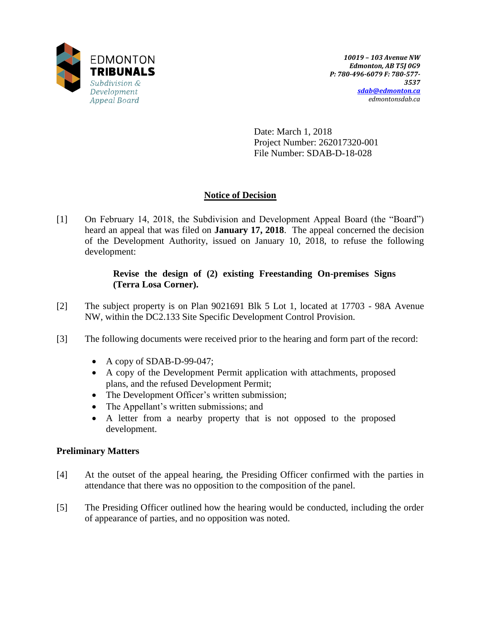

Date: March 1, 2018 Project Number: 262017320-001 File Number: SDAB-D-18-028

# **Notice of Decision**

[1] On February 14, 2018, the Subdivision and Development Appeal Board (the "Board") heard an appeal that was filed on **January 17, 2018**. The appeal concerned the decision of the Development Authority, issued on January 10, 2018, to refuse the following development:

# **Revise the design of (2) existing Freestanding On-premises Signs (Terra Losa Corner).**

- [2] The subject property is on Plan 9021691 Blk 5 Lot 1, located at 17703 98A Avenue NW, within the DC2.133 Site Specific Development Control Provision.
- [3] The following documents were received prior to the hearing and form part of the record:
	- A copy of SDAB-D-99-047;
	- A copy of the Development Permit application with attachments, proposed plans, and the refused Development Permit;
	- The Development Officer's written submission;
	- The Appellant's written submissions; and
	- A letter from a nearby property that is not opposed to the proposed development.

## **Preliminary Matters**

- [4] At the outset of the appeal hearing, the Presiding Officer confirmed with the parties in attendance that there was no opposition to the composition of the panel.
- [5] The Presiding Officer outlined how the hearing would be conducted, including the order of appearance of parties, and no opposition was noted.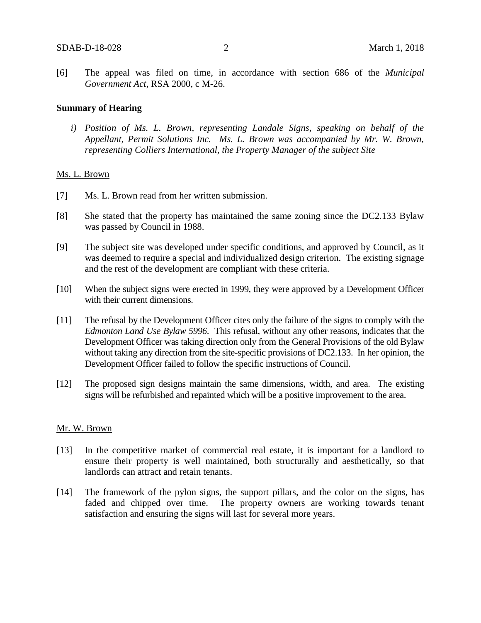[6] The appeal was filed on time, in accordance with section 686 of the *Municipal Government Act*, RSA 2000, c M-26.

#### **Summary of Hearing**

*i) Position of Ms. L. Brown, representing Landale Signs, speaking on behalf of the Appellant, Permit Solutions Inc. Ms. L. Brown was accompanied by Mr. W. Brown, representing Colliers International, the Property Manager of the subject Site*

#### Ms. L. Brown

- [7] Ms. L. Brown read from her written submission.
- [8] She stated that the property has maintained the same zoning since the DC2.133 Bylaw was passed by Council in 1988.
- [9] The subject site was developed under specific conditions, and approved by Council, as it was deemed to require a special and individualized design criterion. The existing signage and the rest of the development are compliant with these criteria.
- [10] When the subject signs were erected in 1999, they were approved by a Development Officer with their current dimensions.
- [11] The refusal by the Development Officer cites only the failure of the signs to comply with the *Edmonton Land Use Bylaw 5996*. This refusal, without any other reasons, indicates that the Development Officer was taking direction only from the General Provisions of the old Bylaw without taking any direction from the site-specific provisions of DC2.133. In her opinion, the Development Officer failed to follow the specific instructions of Council.
- [12] The proposed sign designs maintain the same dimensions, width, and area. The existing signs will be refurbished and repainted which will be a positive improvement to the area.

### Mr. W. Brown

- [13] In the competitive market of commercial real estate, it is important for a landlord to ensure their property is well maintained, both structurally and aesthetically, so that landlords can attract and retain tenants.
- [14] The framework of the pylon signs, the support pillars, and the color on the signs, has faded and chipped over time. The property owners are working towards tenant satisfaction and ensuring the signs will last for several more years.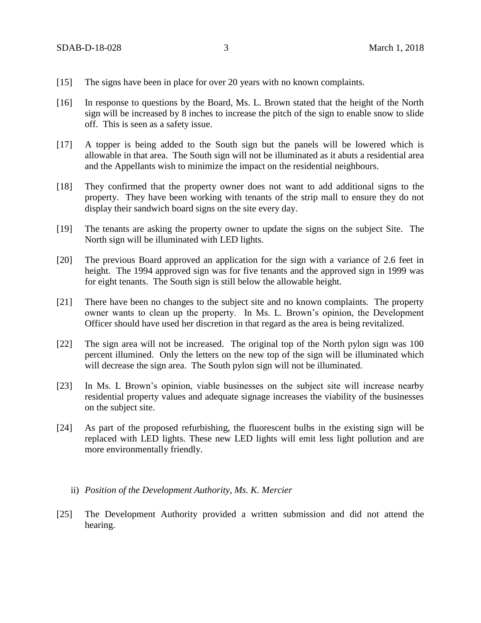- [15] The signs have been in place for over 20 years with no known complaints.
- [16] In response to questions by the Board, Ms. L. Brown stated that the height of the North sign will be increased by 8 inches to increase the pitch of the sign to enable snow to slide off. This is seen as a safety issue.
- [17] A topper is being added to the South sign but the panels will be lowered which is allowable in that area. The South sign will not be illuminated as it abuts a residential area and the Appellants wish to minimize the impact on the residential neighbours.
- [18] They confirmed that the property owner does not want to add additional signs to the property. They have been working with tenants of the strip mall to ensure they do not display their sandwich board signs on the site every day.
- [19] The tenants are asking the property owner to update the signs on the subject Site. The North sign will be illuminated with LED lights.
- [20] The previous Board approved an application for the sign with a variance of 2.6 feet in height. The 1994 approved sign was for five tenants and the approved sign in 1999 was for eight tenants. The South sign is still below the allowable height.
- [21] There have been no changes to the subject site and no known complaints. The property owner wants to clean up the property. In Ms. L. Brown's opinion, the Development Officer should have used her discretion in that regard as the area is being revitalized.
- [22] The sign area will not be increased. The original top of the North pylon sign was 100 percent illumined. Only the letters on the new top of the sign will be illuminated which will decrease the sign area. The South pylon sign will not be illuminated.
- [23] In Ms. L Brown's opinion, viable businesses on the subject site will increase nearby residential property values and adequate signage increases the viability of the businesses on the subject site.
- [24] As part of the proposed refurbishing, the fluorescent bulbs in the existing sign will be replaced with LED lights. These new LED lights will emit less light pollution and are more environmentally friendly.
	- ii) *Position of the Development Authority, Ms. K. Mercier*
- [25] The Development Authority provided a written submission and did not attend the hearing.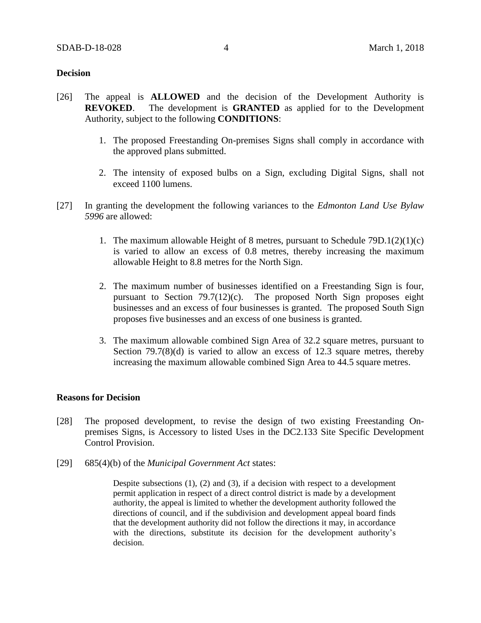### **Decision**

- [26] The appeal is **ALLOWED** and the decision of the Development Authority is **REVOKED**. The development is **GRANTED** as applied for to the Development Authority, subject to the following **CONDITIONS**:
	- 1. The proposed Freestanding On-premises Signs shall comply in accordance with the approved plans submitted.
	- 2. The intensity of exposed bulbs on a Sign, excluding Digital Signs, shall not exceed 1100 lumens.
- [27] In granting the development the following variances to the *Edmonton Land Use Bylaw 5996* are allowed:
	- 1. The maximum allowable Height of 8 metres, pursuant to Schedule  $79D.1(2)(1)(c)$ is varied to allow an excess of 0.8 metres, thereby increasing the maximum allowable Height to 8.8 metres for the North Sign.
	- 2. The maximum number of businesses identified on a Freestanding Sign is four, pursuant to Section 79.7(12)(c). The proposed North Sign proposes eight businesses and an excess of four businesses is granted. The proposed South Sign proposes five businesses and an excess of one business is granted.
	- 3. The maximum allowable combined Sign Area of 32.2 square metres, pursuant to Section 79.7(8)(d) is varied to allow an excess of 12.3 square metres, thereby increasing the maximum allowable combined Sign Area to 44.5 square metres.

#### **Reasons for Decision**

- [28] The proposed development, to revise the design of two existing Freestanding Onpremises Signs, is Accessory to listed Uses in the DC2.133 Site Specific Development Control Provision.
- [29] 685(4)(b) of the *Municipal Government Act* states:

Despite subsections  $(1)$ ,  $(2)$  and  $(3)$ , if a decision with respect to a development permit application in respect of a direct control district is made by a development authority, the appeal is limited to whether the development authority followed the directions of council, and if the subdivision and development appeal board finds that the development authority did not follow the directions it may, in accordance with the directions, substitute its decision for the development authority's decision.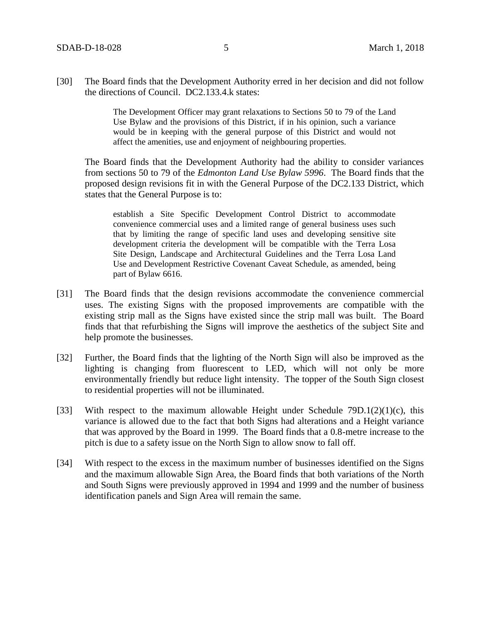[30] The Board finds that the Development Authority erred in her decision and did not follow the directions of Council. DC2.133.4.k states:

> The Development Officer may grant relaxations to Sections 50 to 79 of the Land Use Bylaw and the provisions of this District, if in his opinion, such a variance would be in keeping with the general purpose of this District and would not affect the amenities, use and enjoyment of neighbouring properties.

The Board finds that the Development Authority had the ability to consider variances from sections 50 to 79 of the *Edmonton Land Use Bylaw 5996*. The Board finds that the proposed design revisions fit in with the General Purpose of the DC2.133 District, which states that the General Purpose is to:

establish a Site Specific Development Control District to accommodate convenience commercial uses and a limited range of general business uses such that by limiting the range of specific land uses and developing sensitive site development criteria the development will be compatible with the Terra Losa Site Design, Landscape and Architectural Guidelines and the Terra Losa Land Use and Development Restrictive Covenant Caveat Schedule, as amended, being part of Bylaw 6616.

- [31] The Board finds that the design revisions accommodate the convenience commercial uses. The existing Signs with the proposed improvements are compatible with the existing strip mall as the Signs have existed since the strip mall was built. The Board finds that that refurbishing the Signs will improve the aesthetics of the subject Site and help promote the businesses.
- [32] Further, the Board finds that the lighting of the North Sign will also be improved as the lighting is changing from fluorescent to LED, which will not only be more environmentally friendly but reduce light intensity. The topper of the South Sign closest to residential properties will not be illuminated.
- [33] With respect to the maximum allowable Height under Schedule  $79D.1(2)(1)(c)$ , this variance is allowed due to the fact that both Signs had alterations and a Height variance that was approved by the Board in 1999. The Board finds that a 0.8-metre increase to the pitch is due to a safety issue on the North Sign to allow snow to fall off.
- [34] With respect to the excess in the maximum number of businesses identified on the Signs and the maximum allowable Sign Area, the Board finds that both variations of the North and South Signs were previously approved in 1994 and 1999 and the number of business identification panels and Sign Area will remain the same.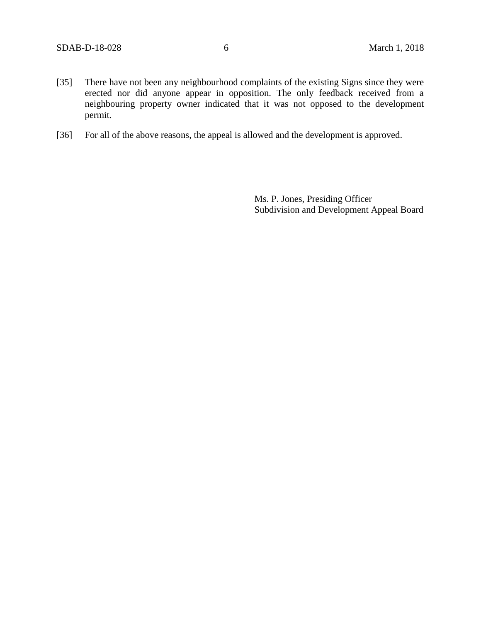- [35] There have not been any neighbourhood complaints of the existing Signs since they were erected nor did anyone appear in opposition. The only feedback received from a neighbouring property owner indicated that it was not opposed to the development permit.
- [36] For all of the above reasons, the appeal is allowed and the development is approved.

Ms. P. Jones, Presiding Officer Subdivision and Development Appeal Board